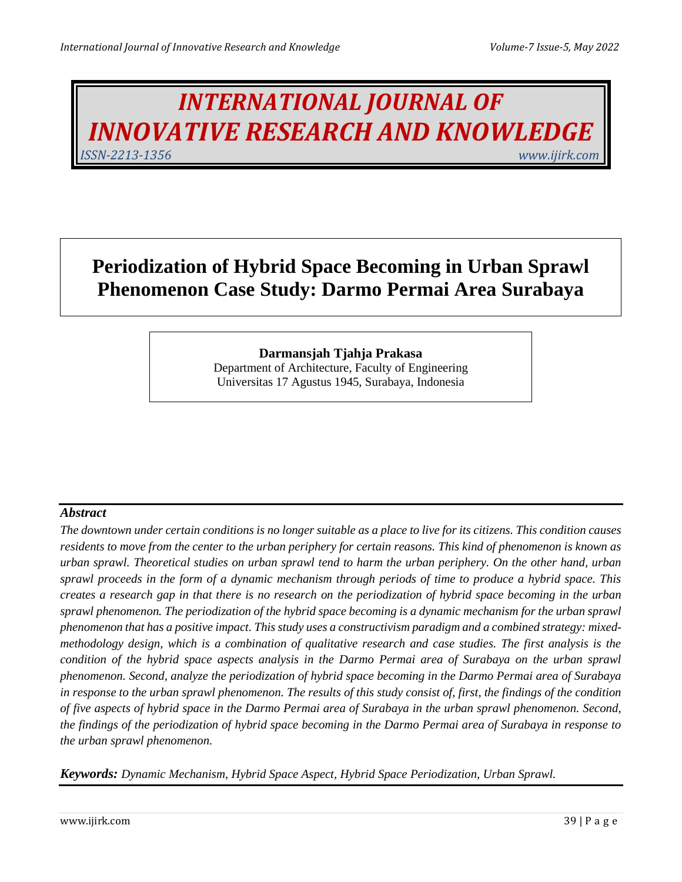# *INTERNATIONAL JOURNAL OF INNOVATIVE RESEARCH AND KNOWLEDGE ISSN-2213-1356 www.ijirk.com*

## **Periodization of Hybrid Space Becoming in Urban Sprawl Phenomenon Case Study: Darmo Permai Area Surabaya**

## **Darmansjah Tjahja Prakasa**

Department of Architecture, Faculty of Engineering Universitas 17 Agustus 1945, Surabaya, Indonesia

#### *Abstract*

*The downtown under certain conditions is no longer suitable as a place to live for its citizens. This condition causes residents to move from the center to the urban periphery for certain reasons. This kind of phenomenon is known as urban sprawl. Theoretical studies on urban sprawl tend to harm the urban periphery. On the other hand, urban sprawl proceeds in the form of a dynamic mechanism through periods of time to produce a hybrid space. This creates a research gap in that there is no research on the periodization of hybrid space becoming in the urban sprawl phenomenon. The periodization of the hybrid space becoming is a dynamic mechanism for the urban sprawl phenomenon that has a positive impact. This study uses a constructivism paradigm and a combined strategy: mixedmethodology design, which is a combination of qualitative research and case studies. The first analysis is the condition of the hybrid space aspects analysis in the Darmo Permai area of Surabaya on the urban sprawl phenomenon. Second, analyze the periodization of hybrid space becoming in the Darmo Permai area of Surabaya in response to the urban sprawl phenomenon. The results of this study consist of, first, the findings of the condition of five aspects of hybrid space in the Darmo Permai area of Surabaya in the urban sprawl phenomenon. Second, the findings of the periodization of hybrid space becoming in the Darmo Permai area of Surabaya in response to the urban sprawl phenomenon.*

*Keywords: Dynamic Mechanism, Hybrid Space Aspect, Hybrid Space Periodization, Urban Sprawl.*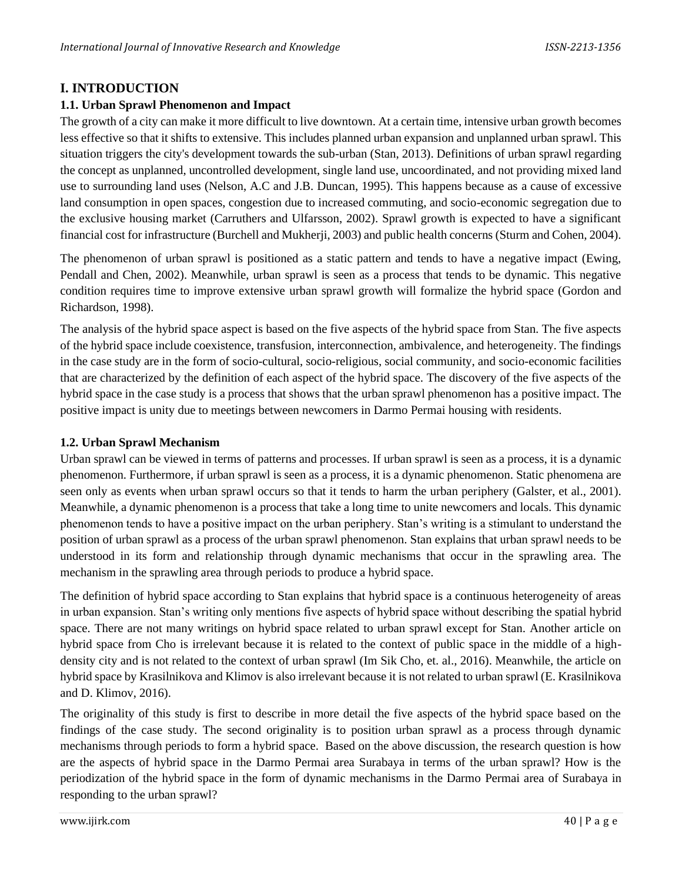## **I. INTRODUCTION**

#### **1.1. Urban Sprawl Phenomenon and Impact**

The growth of a city can make it more difficult to live downtown. At a certain time, intensive urban growth becomes less effective so that it shifts to extensive. This includes planned urban expansion and unplanned urban sprawl. This situation triggers the city's development towards the sub-urban (Stan, 2013). Definitions of urban sprawl regarding the concept as unplanned, uncontrolled development, single land use, uncoordinated, and not providing mixed land use to surrounding land uses (Nelson, A.C and J.B. Duncan, 1995). This happens because as a cause of excessive land consumption in open spaces, congestion due to increased commuting, and socio-economic segregation due to the exclusive housing market (Carruthers and Ulfarsson, 2002). Sprawl growth is expected to have a significant financial cost for infrastructure (Burchell and Mukherji, 2003) and public health concerns (Sturm and Cohen, 2004).

The phenomenon of urban sprawl is positioned as a static pattern and tends to have a negative impact (Ewing, Pendall and Chen, 2002). Meanwhile, urban sprawl is seen as a process that tends to be dynamic. This negative condition requires time to improve extensive urban sprawl growth will formalize the hybrid space (Gordon and Richardson, 1998).

The analysis of the hybrid space aspect is based on the five aspects of the hybrid space from Stan. The five aspects of the hybrid space include coexistence, transfusion, interconnection, ambivalence, and heterogeneity. The findings in the case study are in the form of socio-cultural, socio-religious, social community, and socio-economic facilities that are characterized by the definition of each aspect of the hybrid space. The discovery of the five aspects of the hybrid space in the case study is a process that shows that the urban sprawl phenomenon has a positive impact. The positive impact is unity due to meetings between newcomers in Darmo Permai housing with residents.

#### **1.2. Urban Sprawl Mechanism**

Urban sprawl can be viewed in terms of patterns and processes. If urban sprawl is seen as a process, it is a dynamic phenomenon. Furthermore, if urban sprawl is seen as a process, it is a dynamic phenomenon. Static phenomena are seen only as events when urban sprawl occurs so that it tends to harm the urban periphery (Galster, et al., 2001). Meanwhile, a dynamic phenomenon is a process that take a long time to unite newcomers and locals. This dynamic phenomenon tends to have a positive impact on the urban periphery. Stan's writing is a stimulant to understand the position of urban sprawl as a process of the urban sprawl phenomenon. Stan explains that urban sprawl needs to be understood in its form and relationship through dynamic mechanisms that occur in the sprawling area. The mechanism in the sprawling area through periods to produce a hybrid space.

The definition of hybrid space according to Stan explains that hybrid space is a continuous heterogeneity of areas in urban expansion. Stan's writing only mentions five aspects of hybrid space without describing the spatial hybrid space. There are not many writings on hybrid space related to urban sprawl except for Stan. Another article on hybrid space from Cho is irrelevant because it is related to the context of public space in the middle of a highdensity city and is not related to the context of urban sprawl (Im Sik Cho, et. al., 2016). Meanwhile, the article on hybrid space by Krasilnikova and Klimov is also irrelevant because it is not related to urban sprawl (E. Krasilnikova and D. Klimov, 2016).

The originality of this study is first to describe in more detail the five aspects of the hybrid space based on the findings of the case study. The second originality is to position urban sprawl as a process through dynamic mechanisms through periods to form a hybrid space. Based on the above discussion, the research question is how are the aspects of hybrid space in the Darmo Permai area Surabaya in terms of the urban sprawl? How is the periodization of the hybrid space in the form of dynamic mechanisms in the Darmo Permai area of Surabaya in responding to the urban sprawl?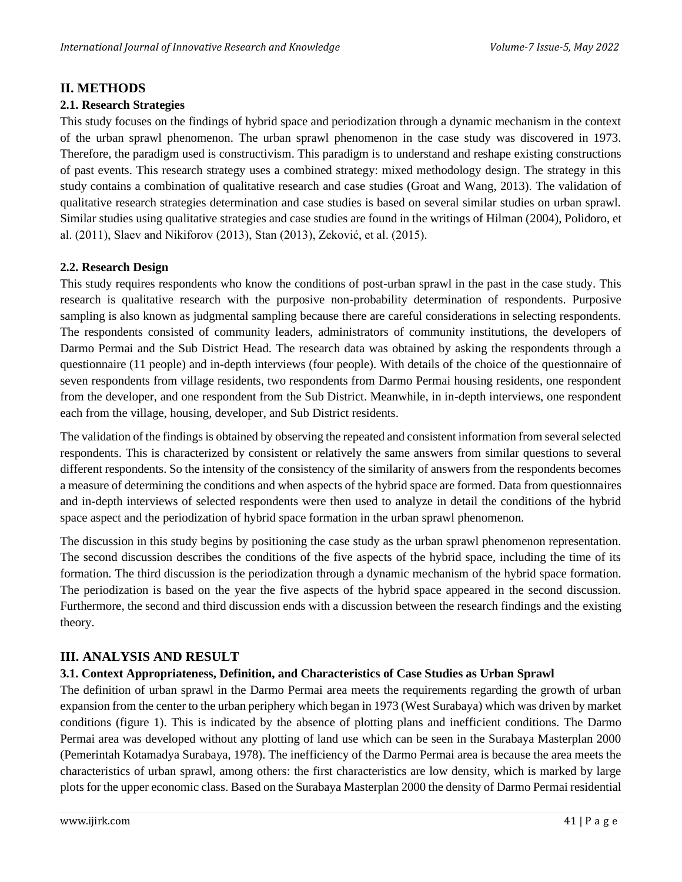## **II. METHODS**

#### **2.1. Research Strategies**

This study focuses on the findings of hybrid space and periodization through a dynamic mechanism in the context of the urban sprawl phenomenon. The urban sprawl phenomenon in the case study was discovered in 1973. Therefore, the paradigm used is constructivism. This paradigm is to understand and reshape existing constructions of past events. This research strategy uses a combined strategy: mixed methodology design. The strategy in this study contains a combination of qualitative research and case studies (Groat and Wang, 2013). The validation of qualitative research strategies determination and case studies is based on several similar studies on urban sprawl. Similar studies using qualitative strategies and case studies are found in the writings of Hilman (2004), Polidoro, et al. (2011), Slaev and Nikiforov (2013), Stan (2013), Zeković, et al. (2015).

#### **2.2. Research Design**

This study requires respondents who know the conditions of post-urban sprawl in the past in the case study. This research is qualitative research with the purposive non-probability determination of respondents. Purposive sampling is also known as judgmental sampling because there are careful considerations in selecting respondents. The respondents consisted of community leaders, administrators of community institutions, the developers of Darmo Permai and the Sub District Head. The research data was obtained by asking the respondents through a questionnaire (11 people) and in-depth interviews (four people). With details of the choice of the questionnaire of seven respondents from village residents, two respondents from Darmo Permai housing residents, one respondent from the developer, and one respondent from the Sub District. Meanwhile, in in-depth interviews, one respondent each from the village, housing, developer, and Sub District residents.

The validation of the findings is obtained by observing the repeated and consistent information from several selected respondents. This is characterized by consistent or relatively the same answers from similar questions to several different respondents. So the intensity of the consistency of the similarity of answers from the respondents becomes a measure of determining the conditions and when aspects of the hybrid space are formed. Data from questionnaires and in-depth interviews of selected respondents were then used to analyze in detail the conditions of the hybrid space aspect and the periodization of hybrid space formation in the urban sprawl phenomenon.

The discussion in this study begins by positioning the case study as the urban sprawl phenomenon representation. The second discussion describes the conditions of the five aspects of the hybrid space, including the time of its formation. The third discussion is the periodization through a dynamic mechanism of the hybrid space formation. The periodization is based on the year the five aspects of the hybrid space appeared in the second discussion. Furthermore, the second and third discussion ends with a discussion between the research findings and the existing theory.

## **III. ANALYSIS AND RESULT**

#### **3.1. Context Appropriateness, Definition, and Characteristics of Case Studies as Urban Sprawl**

The definition of urban sprawl in the Darmo Permai area meets the requirements regarding the growth of urban expansion from the center to the urban periphery which began in 1973 (West Surabaya) which was driven by market conditions (figure 1). This is indicated by the absence of plotting plans and inefficient conditions. The Darmo Permai area was developed without any plotting of land use which can be seen in the Surabaya Masterplan 2000 (Pemerintah Kotamadya Surabaya, 1978). The inefficiency of the Darmo Permai area is because the area meets the characteristics of urban sprawl, among others: the first characteristics are low density, which is marked by large plots for the upper economic class. Based on the Surabaya Masterplan 2000 the density of Darmo Permai residential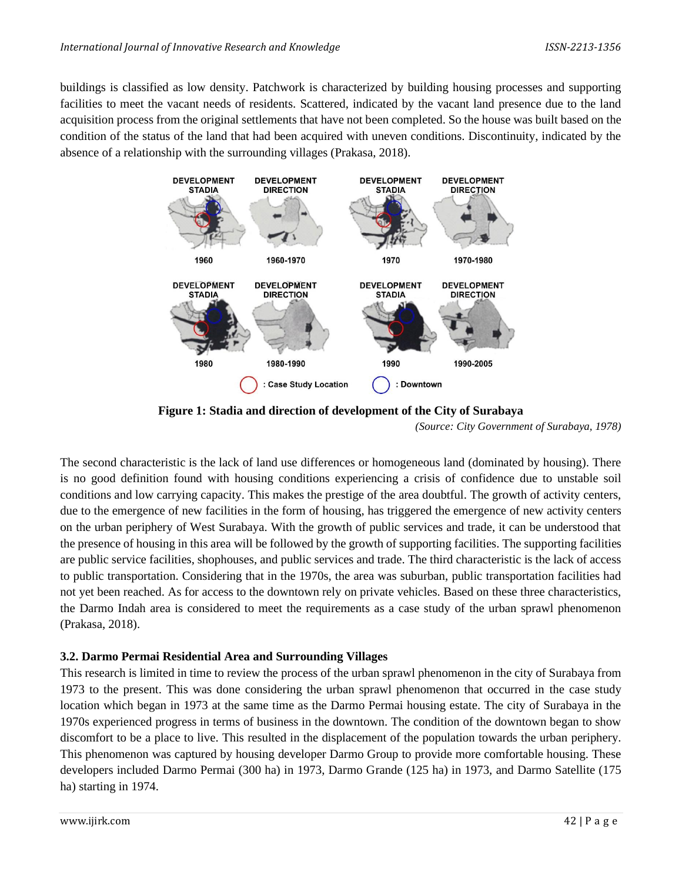buildings is classified as low density. Patchwork is characterized by building housing processes and supporting facilities to meet the vacant needs of residents. Scattered, indicated by the vacant land presence due to the land acquisition process from the original settlements that have not been completed. So the house was built based on the condition of the status of the land that had been acquired with uneven conditions. Discontinuity, indicated by the absence of a relationship with the surrounding villages (Prakasa, 2018).



**Figure 1: Stadia and direction of development of the City of Surabaya**

*(Source: City Government of Surabaya, 1978)*

The second characteristic is the lack of land use differences or homogeneous land (dominated by housing). There is no good definition found with housing conditions experiencing a crisis of confidence due to unstable soil conditions and low carrying capacity. This makes the prestige of the area doubtful. The growth of activity centers, due to the emergence of new facilities in the form of housing, has triggered the emergence of new activity centers on the urban periphery of West Surabaya. With the growth of public services and trade, it can be understood that the presence of housing in this area will be followed by the growth of supporting facilities. The supporting facilities are public service facilities, shophouses, and public services and trade. The third characteristic is the lack of access to public transportation. Considering that in the 1970s, the area was suburban, public transportation facilities had not yet been reached. As for access to the downtown rely on private vehicles. Based on these three characteristics, the Darmo Indah area is considered to meet the requirements as a case study of the urban sprawl phenomenon (Prakasa, 2018).

#### **3.2. Darmo Permai Residential Area and Surrounding Villages**

This research is limited in time to review the process of the urban sprawl phenomenon in the city of Surabaya from 1973 to the present. This was done considering the urban sprawl phenomenon that occurred in the case study location which began in 1973 at the same time as the Darmo Permai housing estate. The city of Surabaya in the 1970s experienced progress in terms of business in the downtown. The condition of the downtown began to show discomfort to be a place to live. This resulted in the displacement of the population towards the urban periphery. This phenomenon was captured by housing developer Darmo Group to provide more comfortable housing. These developers included Darmo Permai (300 ha) in 1973, Darmo Grande (125 ha) in 1973, and Darmo Satellite (175 ha) starting in 1974.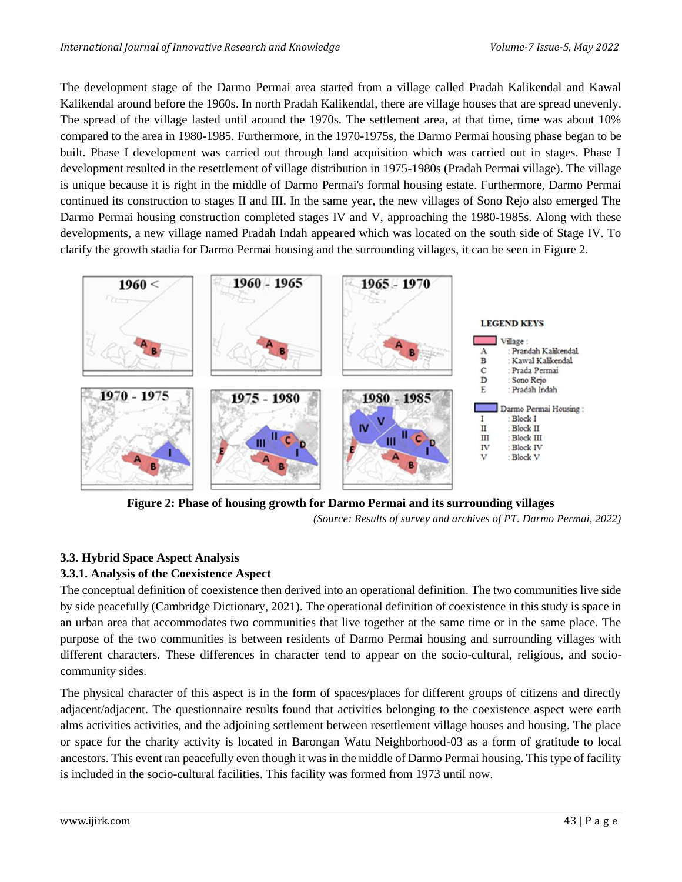The development stage of the Darmo Permai area started from a village called Pradah Kalikendal and Kawal Kalikendal around before the 1960s. In north Pradah Kalikendal, there are village houses that are spread unevenly. The spread of the village lasted until around the 1970s. The settlement area, at that time, time was about 10% compared to the area in 1980-1985. Furthermore, in the 1970-1975s, the Darmo Permai housing phase began to be built. Phase I development was carried out through land acquisition which was carried out in stages. Phase I development resulted in the resettlement of village distribution in 1975-1980s (Pradah Permai village). The village is unique because it is right in the middle of Darmo Permai's formal housing estate. Furthermore, Darmo Permai continued its construction to stages II and III. In the same year, the new villages of Sono Rejo also emerged The Darmo Permai housing construction completed stages IV and V, approaching the 1980-1985s. Along with these developments, a new village named Pradah Indah appeared which was located on the south side of Stage IV. To clarify the growth stadia for Darmo Permai housing and the surrounding villages, it can be seen in Figure 2.



**Figure 2: Phase of housing growth for Darmo Permai and its surrounding villages**

*(Source: Results of survey and archives of PT. Darmo Permai, 2022)*

## **3.3. Hybrid Space Aspect Analysis**

## **3.3.1. Analysis of the Coexistence Aspect**

The conceptual definition of coexistence then derived into an operational definition. The two communities live side by side peacefully (Cambridge Dictionary, 2021). The operational definition of coexistence in this study is space in an urban area that accommodates two communities that live together at the same time or in the same place. The purpose of the two communities is between residents of Darmo Permai housing and surrounding villages with different characters. These differences in character tend to appear on the socio-cultural, religious, and sociocommunity sides.

The physical character of this aspect is in the form of spaces/places for different groups of citizens and directly adjacent/adjacent. The questionnaire results found that activities belonging to the coexistence aspect were earth alms activities activities, and the adjoining settlement between resettlement village houses and housing. The place or space for the charity activity is located in Barongan Watu Neighborhood-03 as a form of gratitude to local ancestors. This event ran peacefully even though it was in the middle of Darmo Permai housing. This type of facility is included in the socio-cultural facilities. This facility was formed from 1973 until now.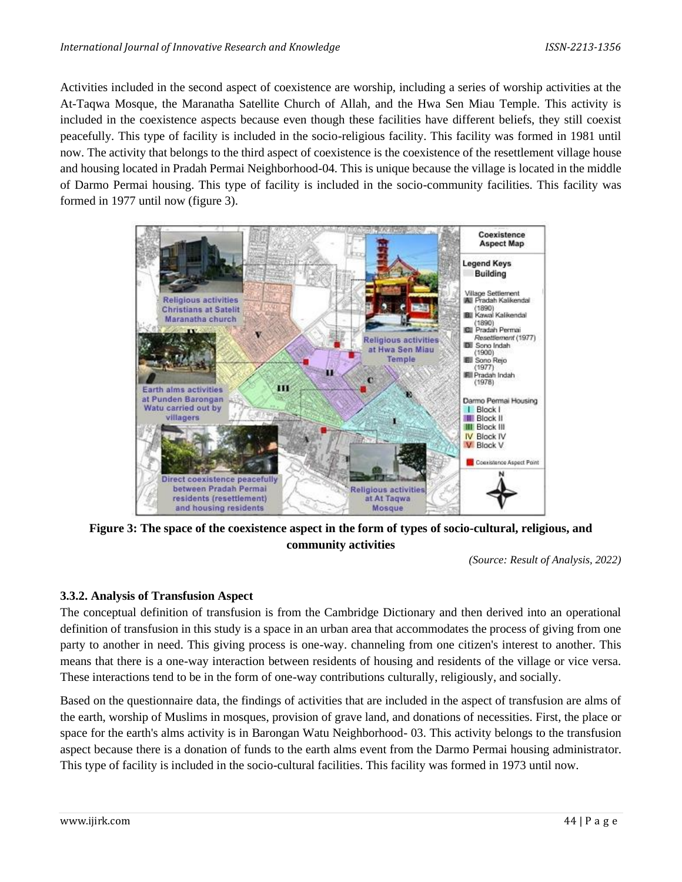Activities included in the second aspect of coexistence are worship, including a series of worship activities at the At-Taqwa Mosque, the Maranatha Satellite Church of Allah, and the Hwa Sen Miau Temple. This activity is included in the coexistence aspects because even though these facilities have different beliefs, they still coexist peacefully. This type of facility is included in the socio-religious facility. This facility was formed in 1981 until now. The activity that belongs to the third aspect of coexistence is the coexistence of the resettlement village house and housing located in Pradah Permai Neighborhood-04. This is unique because the village is located in the middle of Darmo Permai housing. This type of facility is included in the socio-community facilities. This facility was formed in 1977 until now (figure 3).



**Figure 3: The space of the coexistence aspect in the form of types of socio-cultural, religious, and community activities**

*(Source: Result of Analysis, 2022)*

## **3.3.2. Analysis of Transfusion Aspect**

The conceptual definition of transfusion is from the Cambridge Dictionary and then derived into an operational definition of transfusion in this study is a space in an urban area that accommodates the process of giving from one party to another in need. This giving process is one-way. channeling from one citizen's interest to another. This means that there is a one-way interaction between residents of housing and residents of the village or vice versa. These interactions tend to be in the form of one-way contributions culturally, religiously, and socially.

Based on the questionnaire data, the findings of activities that are included in the aspect of transfusion are alms of the earth, worship of Muslims in mosques, provision of grave land, and donations of necessities. First, the place or space for the earth's alms activity is in Barongan Watu Neighborhood- 03. This activity belongs to the transfusion aspect because there is a donation of funds to the earth alms event from the Darmo Permai housing administrator. This type of facility is included in the socio-cultural facilities. This facility was formed in 1973 until now.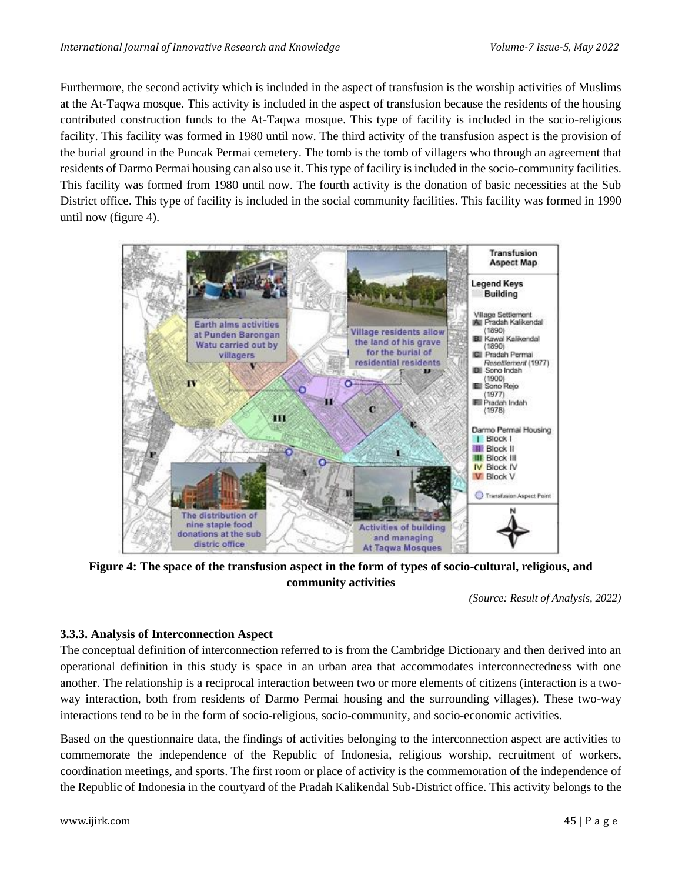Furthermore, the second activity which is included in the aspect of transfusion is the worship activities of Muslims at the At-Taqwa mosque. This activity is included in the aspect of transfusion because the residents of the housing contributed construction funds to the At-Taqwa mosque. This type of facility is included in the socio-religious facility. This facility was formed in 1980 until now. The third activity of the transfusion aspect is the provision of the burial ground in the Puncak Permai cemetery. The tomb is the tomb of villagers who through an agreement that residents of Darmo Permai housing can also use it. This type of facility is included in the socio-community facilities. This facility was formed from 1980 until now. The fourth activity is the donation of basic necessities at the Sub District office. This type of facility is included in the social community facilities. This facility was formed in 1990 until now (figure 4).



**Figure 4: The space of the transfusion aspect in the form of types of socio-cultural, religious, and community activities**

*(Source: Result of Analysis, 2022)*

## **3.3.3. Analysis of Interconnection Aspect**

The conceptual definition of interconnection referred to is from the Cambridge Dictionary and then derived into an operational definition in this study is space in an urban area that accommodates interconnectedness with one another. The relationship is a reciprocal interaction between two or more elements of citizens (interaction is a twoway interaction, both from residents of Darmo Permai housing and the surrounding villages). These two-way interactions tend to be in the form of socio-religious, socio-community, and socio-economic activities.

Based on the questionnaire data, the findings of activities belonging to the interconnection aspect are activities to commemorate the independence of the Republic of Indonesia, religious worship, recruitment of workers, coordination meetings, and sports. The first room or place of activity is the commemoration of the independence of the Republic of Indonesia in the courtyard of the Pradah Kalikendal Sub-District office. This activity belongs to the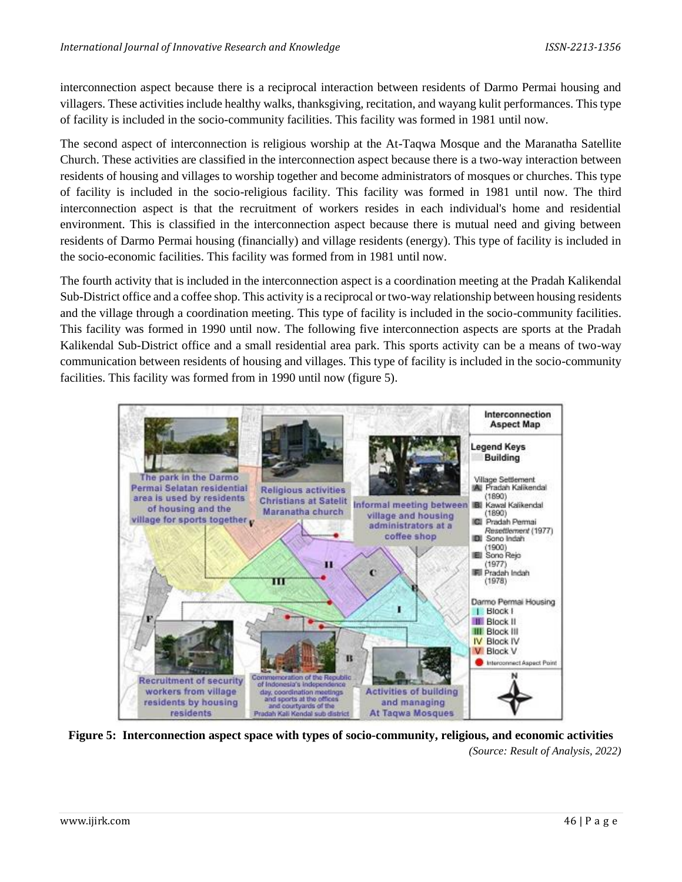interconnection aspect because there is a reciprocal interaction between residents of Darmo Permai housing and villagers. These activities include healthy walks, thanksgiving, recitation, and wayang kulit performances. This type of facility is included in the socio-community facilities. This facility was formed in 1981 until now.

The second aspect of interconnection is religious worship at the At-Taqwa Mosque and the Maranatha Satellite Church. These activities are classified in the interconnection aspect because there is a two-way interaction between residents of housing and villages to worship together and become administrators of mosques or churches. This type of facility is included in the socio-religious facility. This facility was formed in 1981 until now. The third interconnection aspect is that the recruitment of workers resides in each individual's home and residential environment. This is classified in the interconnection aspect because there is mutual need and giving between residents of Darmo Permai housing (financially) and village residents (energy). This type of facility is included in the socio-economic facilities. This facility was formed from in 1981 until now.

The fourth activity that is included in the interconnection aspect is a coordination meeting at the Pradah Kalikendal Sub-District office and a coffee shop. This activity is a reciprocal or two-way relationship between housing residents and the village through a coordination meeting. This type of facility is included in the socio-community facilities. This facility was formed in 1990 until now. The following five interconnection aspects are sports at the Pradah Kalikendal Sub-District office and a small residential area park. This sports activity can be a means of two-way communication between residents of housing and villages. This type of facility is included in the socio-community facilities. This facility was formed from in 1990 until now (figure 5).



**Figure 5: Interconnection aspect space with types of socio-community, religious, and economic activities** *(Source: Result of Analysis, 2022)*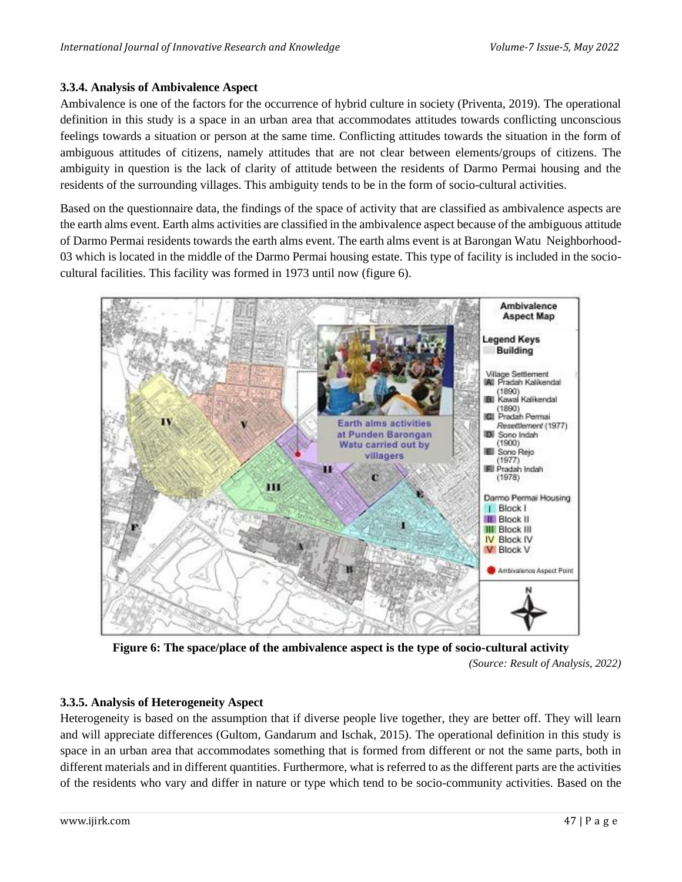## **3.3.4. Analysis of Ambivalence Aspect**

Ambivalence is one of the factors for the occurrence of hybrid culture in society (Priventa, 2019). The operational definition in this study is a space in an urban area that accommodates attitudes towards conflicting unconscious feelings towards a situation or person at the same time. Conflicting attitudes towards the situation in the form of ambiguous attitudes of citizens, namely attitudes that are not clear between elements/groups of citizens. The ambiguity in question is the lack of clarity of attitude between the residents of Darmo Permai housing and the residents of the surrounding villages. This ambiguity tends to be in the form of socio-cultural activities.

Based on the questionnaire data, the findings of the space of activity that are classified as ambivalence aspects are the earth alms event. Earth alms activities are classified in the ambivalence aspect because of the ambiguous attitude of Darmo Permai residents towards the earth alms event. The earth alms event is at Barongan Watu Neighborhood-03 which is located in the middle of the Darmo Permai housing estate. This type of facility is included in the sociocultural facilities. This facility was formed in 1973 until now (figure 6).



**Figure 6: The space/place of the ambivalence aspect is the type of socio-cultural activity**

*(Source: Result of Analysis, 2022)*

## **3.3.5. Analysis of Heterogeneity Aspect**

Heterogeneity is based on the assumption that if diverse people live together, they are better off. They will learn and will appreciate differences (Gultom, Gandarum and Ischak, 2015). The operational definition in this study is space in an urban area that accommodates something that is formed from different or not the same parts, both in different materials and in different quantities. Furthermore, what is referred to as the different parts are the activities of the residents who vary and differ in nature or type which tend to be socio-community activities. Based on the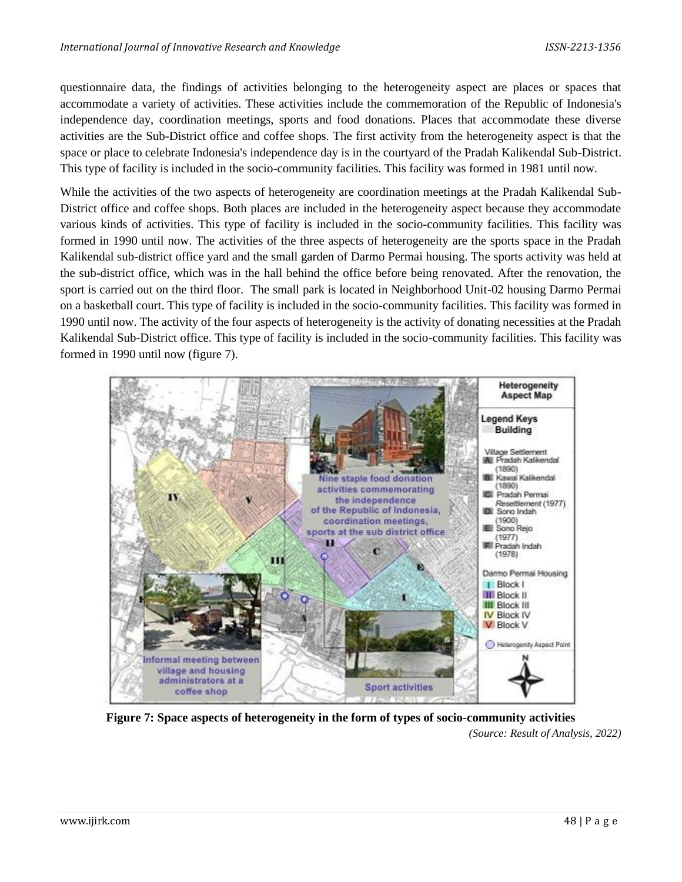questionnaire data, the findings of activities belonging to the heterogeneity aspect are places or spaces that accommodate a variety of activities. These activities include the commemoration of the Republic of Indonesia's independence day, coordination meetings, sports and food donations. Places that accommodate these diverse activities are the Sub-District office and coffee shops. The first activity from the heterogeneity aspect is that the space or place to celebrate Indonesia's independence day is in the courtyard of the Pradah Kalikendal Sub-District. This type of facility is included in the socio-community facilities. This facility was formed in 1981 until now.

While the activities of the two aspects of heterogeneity are coordination meetings at the Pradah Kalikendal Sub-District office and coffee shops. Both places are included in the heterogeneity aspect because they accommodate various kinds of activities. This type of facility is included in the socio-community facilities. This facility was formed in 1990 until now. The activities of the three aspects of heterogeneity are the sports space in the Pradah Kalikendal sub-district office yard and the small garden of Darmo Permai housing. The sports activity was held at the sub-district office, which was in the hall behind the office before being renovated. After the renovation, the sport is carried out on the third floor. The small park is located in Neighborhood Unit-02 housing Darmo Permai on a basketball court. This type of facility is included in the socio-community facilities. This facility was formed in 1990 until now. The activity of the four aspects of heterogeneity is the activity of donating necessities at the Pradah Kalikendal Sub-District office. This type of facility is included in the socio-community facilities. This facility was formed in 1990 until now (figure 7).



**Figure 7: Space aspects of heterogeneity in the form of types of socio-community activities** *(Source: Result of Analysis, 2022)*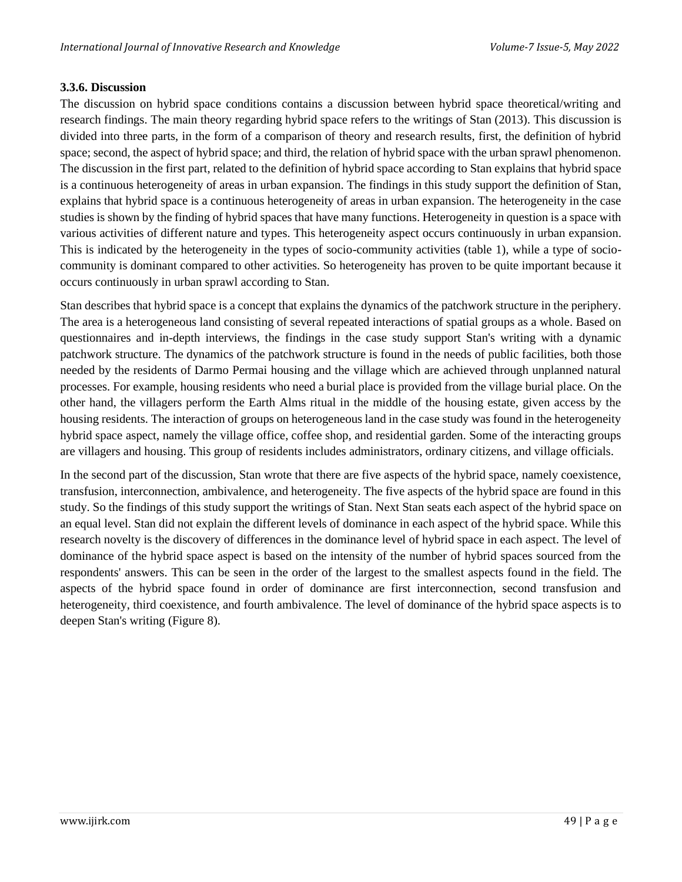#### **3.3.6. Discussion**

The discussion on hybrid space conditions contains a discussion between hybrid space theoretical/writing and research findings. The main theory regarding hybrid space refers to the writings of Stan (2013). This discussion is divided into three parts, in the form of a comparison of theory and research results, first, the definition of hybrid space; second, the aspect of hybrid space; and third, the relation of hybrid space with the urban sprawl phenomenon. The discussion in the first part, related to the definition of hybrid space according to Stan explains that hybrid space is a continuous heterogeneity of areas in urban expansion. The findings in this study support the definition of Stan, explains that hybrid space is a continuous heterogeneity of areas in urban expansion. The heterogeneity in the case studies is shown by the finding of hybrid spaces that have many functions. Heterogeneity in question is a space with various activities of different nature and types. This heterogeneity aspect occurs continuously in urban expansion. This is indicated by the heterogeneity in the types of socio-community activities (table 1), while a type of sociocommunity is dominant compared to other activities. So heterogeneity has proven to be quite important because it occurs continuously in urban sprawl according to Stan.

Stan describes that hybrid space is a concept that explains the dynamics of the patchwork structure in the periphery. The area is a heterogeneous land consisting of several repeated interactions of spatial groups as a whole. Based on questionnaires and in-depth interviews, the findings in the case study support Stan's writing with a dynamic patchwork structure. The dynamics of the patchwork structure is found in the needs of public facilities, both those needed by the residents of Darmo Permai housing and the village which are achieved through unplanned natural processes. For example, housing residents who need a burial place is provided from the village burial place. On the other hand, the villagers perform the Earth Alms ritual in the middle of the housing estate, given access by the housing residents. The interaction of groups on heterogeneous land in the case study was found in the heterogeneity hybrid space aspect, namely the village office, coffee shop, and residential garden. Some of the interacting groups are villagers and housing. This group of residents includes administrators, ordinary citizens, and village officials.

In the second part of the discussion, Stan wrote that there are five aspects of the hybrid space, namely coexistence, transfusion, interconnection, ambivalence, and heterogeneity. The five aspects of the hybrid space are found in this study. So the findings of this study support the writings of Stan. Next Stan seats each aspect of the hybrid space on an equal level. Stan did not explain the different levels of dominance in each aspect of the hybrid space. While this research novelty is the discovery of differences in the dominance level of hybrid space in each aspect. The level of dominance of the hybrid space aspect is based on the intensity of the number of hybrid spaces sourced from the respondents' answers. This can be seen in the order of the largest to the smallest aspects found in the field. The aspects of the hybrid space found in order of dominance are first interconnection, second transfusion and heterogeneity, third coexistence, and fourth ambivalence. The level of dominance of the hybrid space aspects is to deepen Stan's writing (Figure 8).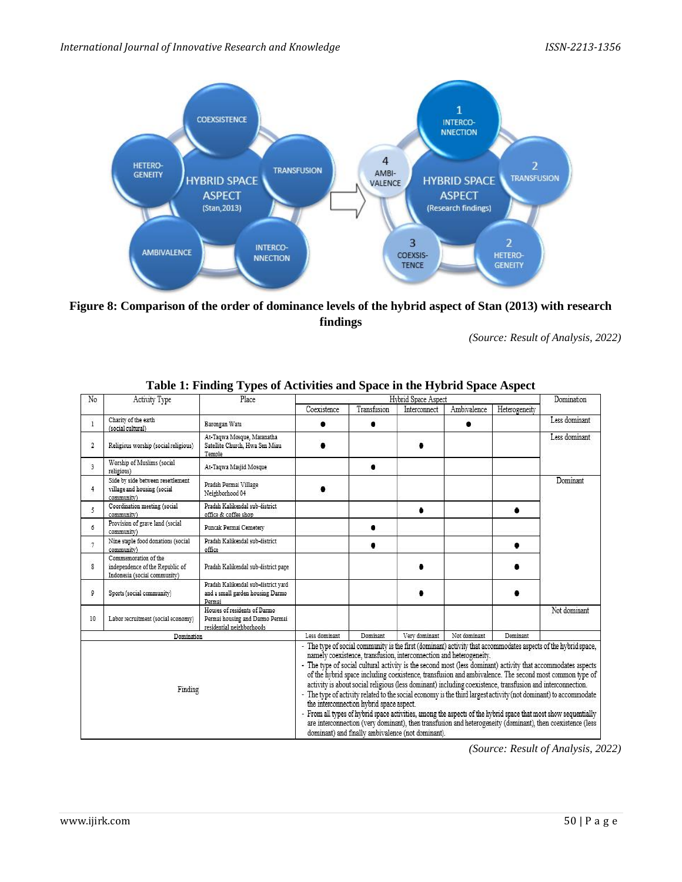

**Figure 8: Comparison of the order of dominance levels of the hybrid aspect of Stan (2013) with research findings**

*(Source: Result of Analysis, 2022)*

| No             | Activity Type                                                                           | Place                                                                                                                                                                                                                                                                                                                                                                                                                                                                                                                                                                                                                                                                                                                                                                                                                                                                                                                                                                              | Hybrid Space Aspect |             |               |              |               | Domination    |
|----------------|-----------------------------------------------------------------------------------------|------------------------------------------------------------------------------------------------------------------------------------------------------------------------------------------------------------------------------------------------------------------------------------------------------------------------------------------------------------------------------------------------------------------------------------------------------------------------------------------------------------------------------------------------------------------------------------------------------------------------------------------------------------------------------------------------------------------------------------------------------------------------------------------------------------------------------------------------------------------------------------------------------------------------------------------------------------------------------------|---------------------|-------------|---------------|--------------|---------------|---------------|
|                |                                                                                         |                                                                                                                                                                                                                                                                                                                                                                                                                                                                                                                                                                                                                                                                                                                                                                                                                                                                                                                                                                                    | Coexistence         | Transfusion | Interconnect  | Ambivalence  | Heterogeneity |               |
| 1              | Charity of the earth<br>(social cultural)                                               | Barongan Watu                                                                                                                                                                                                                                                                                                                                                                                                                                                                                                                                                                                                                                                                                                                                                                                                                                                                                                                                                                      |                     |             |               | ٠            |               | Less dominant |
| $\overline{2}$ | Religious worship (social religious)                                                    | At-Taqwa Mosque, Maranatha<br>Satellite Church, Hwa Sen Miau<br>Temple                                                                                                                                                                                                                                                                                                                                                                                                                                                                                                                                                                                                                                                                                                                                                                                                                                                                                                             |                     |             |               |              |               | Less dominant |
| 3              | Worship of Muslims (social<br>religious)                                                | At-Tagwa Masjid Mosque                                                                                                                                                                                                                                                                                                                                                                                                                                                                                                                                                                                                                                                                                                                                                                                                                                                                                                                                                             |                     |             |               |              |               |               |
| $\overline{4}$ | Side by side between resettlement<br>village and housing (social<br>community)          | Pradah Permai Village<br>Neighborhood 04                                                                                                                                                                                                                                                                                                                                                                                                                                                                                                                                                                                                                                                                                                                                                                                                                                                                                                                                           |                     |             |               |              |               | Dominant      |
| 5              | Coordination meeting (social<br>community)                                              | Pradah Kalikendal sub-district<br>office & coffee shop                                                                                                                                                                                                                                                                                                                                                                                                                                                                                                                                                                                                                                                                                                                                                                                                                                                                                                                             |                     |             |               |              |               |               |
| 6              | Provision of grave land (social<br>community)                                           | Puncak Permai Cemetery                                                                                                                                                                                                                                                                                                                                                                                                                                                                                                                                                                                                                                                                                                                                                                                                                                                                                                                                                             |                     |             |               |              |               |               |
| $\sigma$       | Nine staple food donations (social<br>community)                                        | Pradah Kalikendal sub-district<br>office                                                                                                                                                                                                                                                                                                                                                                                                                                                                                                                                                                                                                                                                                                                                                                                                                                                                                                                                           |                     |             |               |              |               |               |
| 8              | Commemoration of the<br>independence of the Republic of<br>Indonesia (social community) | Pradah Kalikendal sub-district page                                                                                                                                                                                                                                                                                                                                                                                                                                                                                                                                                                                                                                                                                                                                                                                                                                                                                                                                                |                     |             |               |              |               |               |
| 9              | Sports (social community)                                                               | Pradah Kalikendal sub-district vard<br>and a small garden housing Darmo<br>Permai                                                                                                                                                                                                                                                                                                                                                                                                                                                                                                                                                                                                                                                                                                                                                                                                                                                                                                  |                     |             |               |              |               |               |
| 10             | Labor recruitment (social economy)                                                      | Houses of residents of Darmo<br>Permai housing and Darmo Permai<br>residential neighborhoods                                                                                                                                                                                                                                                                                                                                                                                                                                                                                                                                                                                                                                                                                                                                                                                                                                                                                       |                     |             |               |              |               | Not dominant  |
|                | Domination                                                                              |                                                                                                                                                                                                                                                                                                                                                                                                                                                                                                                                                                                                                                                                                                                                                                                                                                                                                                                                                                                    | Less dominant       | Dominant    | Very dominant | Not dominant | Dominant      |               |
|                | Finding                                                                                 | - The type of social community is the first (dominant) activity that accommodates aspects of the hybrid space,<br>namely coexistence, transfusion, interconnection and heterogeneity.<br>- The type of social cultural activity is the second most (less dominant) activity that accommodates aspects<br>of the hybrid space including coexistence, transfusion and ambivalence. The second most common type of<br>activity is about social religious (less dominant) including coexistence, transfusion and interconnection.<br>- The type of activity related to the social economy is the third largest activity (not dominant) to accommodate<br>the interconnection hybrid space aspect.<br>- From all types of hybrid space activities, among the aspects of the hybrid space that most show sequentially<br>are interconnection (very dominant), then transfusion and heterogeneity (dominant), then coexistence (less<br>dominant) and finally ambivalence (not dominant). |                     |             |               |              |               |               |

#### **Table 1: Finding Types of Activities and Space in the Hybrid Space Aspect**

*(Source: Result of Analysis, 2022)*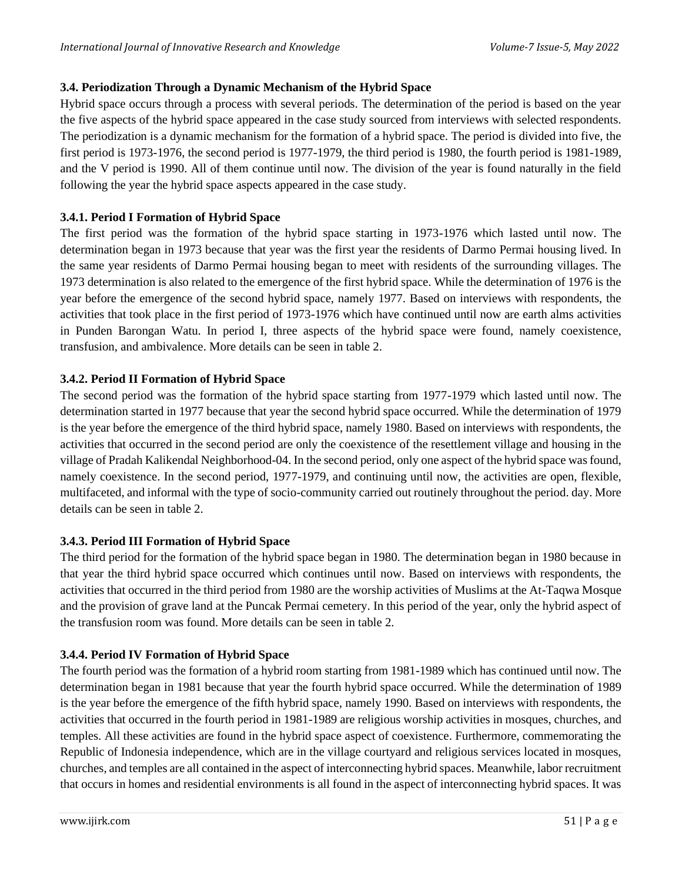## **3.4. Periodization Through a Dynamic Mechanism of the Hybrid Space**

Hybrid space occurs through a process with several periods. The determination of the period is based on the year the five aspects of the hybrid space appeared in the case study sourced from interviews with selected respondents. The periodization is a dynamic mechanism for the formation of a hybrid space. The period is divided into five, the first period is 1973-1976, the second period is 1977-1979, the third period is 1980, the fourth period is 1981-1989, and the V period is 1990. All of them continue until now. The division of the year is found naturally in the field following the year the hybrid space aspects appeared in the case study.

## **3.4.1. Period I Formation of Hybrid Space**

The first period was the formation of the hybrid space starting in 1973-1976 which lasted until now. The determination began in 1973 because that year was the first year the residents of Darmo Permai housing lived. In the same year residents of Darmo Permai housing began to meet with residents of the surrounding villages. The 1973 determination is also related to the emergence of the first hybrid space. While the determination of 1976 is the year before the emergence of the second hybrid space, namely 1977. Based on interviews with respondents, the activities that took place in the first period of 1973-1976 which have continued until now are earth alms activities in Punden Barongan Watu. In period I, three aspects of the hybrid space were found, namely coexistence, transfusion, and ambivalence. More details can be seen in table 2.

## **3.4.2. Period II Formation of Hybrid Space**

The second period was the formation of the hybrid space starting from 1977-1979 which lasted until now. The determination started in 1977 because that year the second hybrid space occurred. While the determination of 1979 is the year before the emergence of the third hybrid space, namely 1980. Based on interviews with respondents, the activities that occurred in the second period are only the coexistence of the resettlement village and housing in the village of Pradah Kalikendal Neighborhood-04. In the second period, only one aspect of the hybrid space was found, namely coexistence. In the second period, 1977-1979, and continuing until now, the activities are open, flexible, multifaceted, and informal with the type of socio-community carried out routinely throughout the period. day. More details can be seen in table 2.

#### **3.4.3. Period III Formation of Hybrid Space**

The third period for the formation of the hybrid space began in 1980. The determination began in 1980 because in that year the third hybrid space occurred which continues until now. Based on interviews with respondents, the activities that occurred in the third period from 1980 are the worship activities of Muslims at the At-Taqwa Mosque and the provision of grave land at the Puncak Permai cemetery. In this period of the year, only the hybrid aspect of the transfusion room was found. More details can be seen in table 2.

## **3.4.4. Period IV Formation of Hybrid Space**

The fourth period was the formation of a hybrid room starting from 1981-1989 which has continued until now. The determination began in 1981 because that year the fourth hybrid space occurred. While the determination of 1989 is the year before the emergence of the fifth hybrid space, namely 1990. Based on interviews with respondents, the activities that occurred in the fourth period in 1981-1989 are religious worship activities in mosques, churches, and temples. All these activities are found in the hybrid space aspect of coexistence. Furthermore, commemorating the Republic of Indonesia independence, which are in the village courtyard and religious services located in mosques, churches, and temples are all contained in the aspect of interconnecting hybrid spaces. Meanwhile, labor recruitment that occurs in homes and residential environments is all found in the aspect of interconnecting hybrid spaces. It was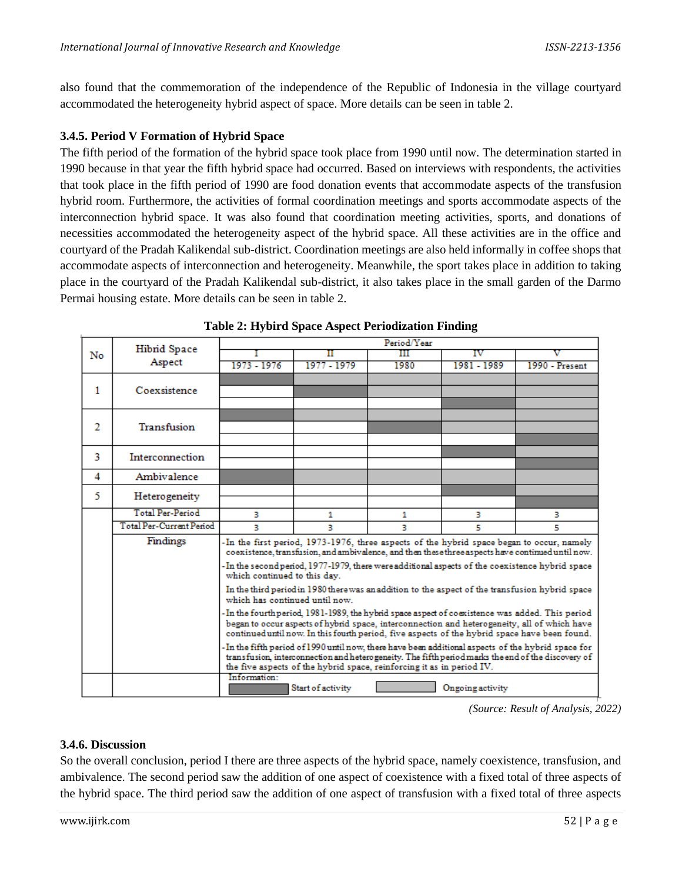also found that the commemoration of the independence of the Republic of Indonesia in the village courtyard accommodated the heterogeneity hybrid aspect of space. More details can be seen in table 2.

#### **3.4.5. Period V Formation of Hybrid Space**

The fifth period of the formation of the hybrid space took place from 1990 until now. The determination started in 1990 because in that year the fifth hybrid space had occurred. Based on interviews with respondents, the activities that took place in the fifth period of 1990 are food donation events that accommodate aspects of the transfusion hybrid room. Furthermore, the activities of formal coordination meetings and sports accommodate aspects of the interconnection hybrid space. It was also found that coordination meeting activities, sports, and donations of necessities accommodated the heterogeneity aspect of the hybrid space. All these activities are in the office and courtyard of the Pradah Kalikendal sub-district. Coordination meetings are also held informally in coffee shops that accommodate aspects of interconnection and heterogeneity. Meanwhile, the sport takes place in addition to taking place in the courtyard of the Pradah Kalikendal sub-district, it also takes place in the small garden of the Darmo Permai housing estate. More details can be seen in table 2.

| No |                                 | Period/Year                                                                                                                                                                                                                                                                                      |                   |      |                  |                |  |  |  |
|----|---------------------------------|--------------------------------------------------------------------------------------------------------------------------------------------------------------------------------------------------------------------------------------------------------------------------------------------------|-------------------|------|------------------|----------------|--|--|--|
|    | <b>Hibrid Space</b>             |                                                                                                                                                                                                                                                                                                  |                   | Ш    | īν               |                |  |  |  |
|    | Aspect                          | 1973 - 1976                                                                                                                                                                                                                                                                                      | 1977 - 1979       | 1980 | 1981 - 1989      | 1990 - Present |  |  |  |
|    |                                 |                                                                                                                                                                                                                                                                                                  |                   |      |                  |                |  |  |  |
| 1  | Coexsistence                    |                                                                                                                                                                                                                                                                                                  |                   |      |                  |                |  |  |  |
|    |                                 |                                                                                                                                                                                                                                                                                                  |                   |      |                  |                |  |  |  |
| 2  | Transfusion                     |                                                                                                                                                                                                                                                                                                  |                   |      |                  |                |  |  |  |
|    |                                 |                                                                                                                                                                                                                                                                                                  |                   |      |                  |                |  |  |  |
|    |                                 |                                                                                                                                                                                                                                                                                                  |                   |      |                  |                |  |  |  |
| 3  | Interconnection                 |                                                                                                                                                                                                                                                                                                  |                   |      |                  |                |  |  |  |
|    |                                 |                                                                                                                                                                                                                                                                                                  |                   |      |                  |                |  |  |  |
| 4  | Ambivalence                     |                                                                                                                                                                                                                                                                                                  |                   |      |                  |                |  |  |  |
| 5. | Heterogeneity                   |                                                                                                                                                                                                                                                                                                  |                   |      |                  |                |  |  |  |
|    |                                 |                                                                                                                                                                                                                                                                                                  |                   |      |                  |                |  |  |  |
|    | <b>Total Par-Pariod</b>         | з                                                                                                                                                                                                                                                                                                | 1                 | 1    | з                | з              |  |  |  |
|    | <b>Total Per-Current Period</b> | R.                                                                                                                                                                                                                                                                                               | з                 | R    | 5                | 5              |  |  |  |
|    | Findings                        | -In the first period, 1973-1976, three aspects of the hybrid space began to occur, namely<br>coexistence, transfusion, and ambivalence, and then these three aspects have continued until now.                                                                                                   |                   |      |                  |                |  |  |  |
|    |                                 | In the second period, 1977-1979, there were additional aspects of the coexistence hybrid space-<br>which continued to this day.                                                                                                                                                                  |                   |      |                  |                |  |  |  |
|    |                                 | In the third period in 1980 there was an addition to the aspect of the transfusion hybrid space<br>which has continued until now.                                                                                                                                                                |                   |      |                  |                |  |  |  |
|    |                                 | In the fourth period, 1981-1989, the hybrid space aspect of coexistence was added. This period-<br>began to occur aspects of hybrid space, interconnection and heterogeneity, all of which have<br>continued until now. In this fourth period, five aspects of the hybrid space have been found. |                   |      |                  |                |  |  |  |
|    |                                 | - In the fifth period of 1990 until now, there have been additional aspects of the hybrid space for<br>transfusion, interconnection and heterogeneity. The fifth period marks the end of the discovery of<br>the five aspects of the hybrid space, reinforcing it as in period IV.               |                   |      |                  |                |  |  |  |
|    |                                 | Information:                                                                                                                                                                                                                                                                                     | Start of activity |      | Ongoing activity |                |  |  |  |

**Table 2: Hybird Space Aspect Periodization Finding**

 *(Source: Result of Analysis, 2022)*

#### **3.4.6. Discussion**

So the overall conclusion, period I there are three aspects of the hybrid space, namely coexistence, transfusion, and ambivalence. The second period saw the addition of one aspect of coexistence with a fixed total of three aspects of the hybrid space. The third period saw the addition of one aspect of transfusion with a fixed total of three aspects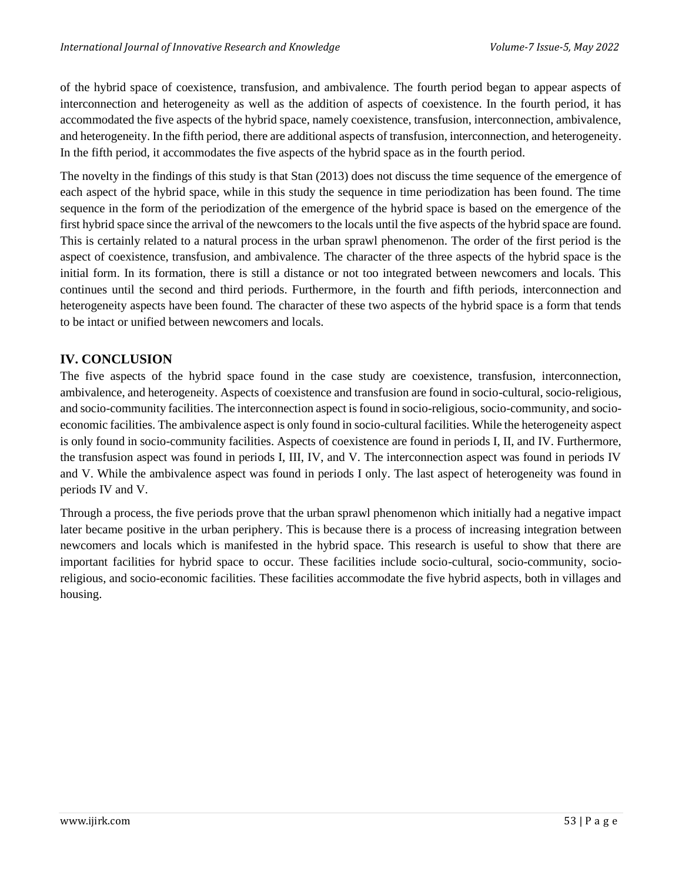of the hybrid space of coexistence, transfusion, and ambivalence. The fourth period began to appear aspects of interconnection and heterogeneity as well as the addition of aspects of coexistence. In the fourth period, it has accommodated the five aspects of the hybrid space, namely coexistence, transfusion, interconnection, ambivalence, and heterogeneity. In the fifth period, there are additional aspects of transfusion, interconnection, and heterogeneity. In the fifth period, it accommodates the five aspects of the hybrid space as in the fourth period.

The novelty in the findings of this study is that Stan (2013) does not discuss the time sequence of the emergence of each aspect of the hybrid space, while in this study the sequence in time periodization has been found. The time sequence in the form of the periodization of the emergence of the hybrid space is based on the emergence of the first hybrid space since the arrival of the newcomers to the locals until the five aspects of the hybrid space are found. This is certainly related to a natural process in the urban sprawl phenomenon. The order of the first period is the aspect of coexistence, transfusion, and ambivalence. The character of the three aspects of the hybrid space is the initial form. In its formation, there is still a distance or not too integrated between newcomers and locals. This continues until the second and third periods. Furthermore, in the fourth and fifth periods, interconnection and heterogeneity aspects have been found. The character of these two aspects of the hybrid space is a form that tends to be intact or unified between newcomers and locals.

## **IV. CONCLUSION**

The five aspects of the hybrid space found in the case study are coexistence, transfusion, interconnection, ambivalence, and heterogeneity. Aspects of coexistence and transfusion are found in socio-cultural, socio-religious, and socio-community facilities. The interconnection aspect is found in socio-religious, socio-community, and socioeconomic facilities. The ambivalence aspect is only found in socio-cultural facilities. While the heterogeneity aspect is only found in socio-community facilities. Aspects of coexistence are found in periods I, II, and IV. Furthermore, the transfusion aspect was found in periods I, III, IV, and V. The interconnection aspect was found in periods IV and V. While the ambivalence aspect was found in periods I only. The last aspect of heterogeneity was found in periods IV and V.

Through a process, the five periods prove that the urban sprawl phenomenon which initially had a negative impact later became positive in the urban periphery. This is because there is a process of increasing integration between newcomers and locals which is manifested in the hybrid space. This research is useful to show that there are important facilities for hybrid space to occur. These facilities include socio-cultural, socio-community, socioreligious, and socio-economic facilities. These facilities accommodate the five hybrid aspects, both in villages and housing.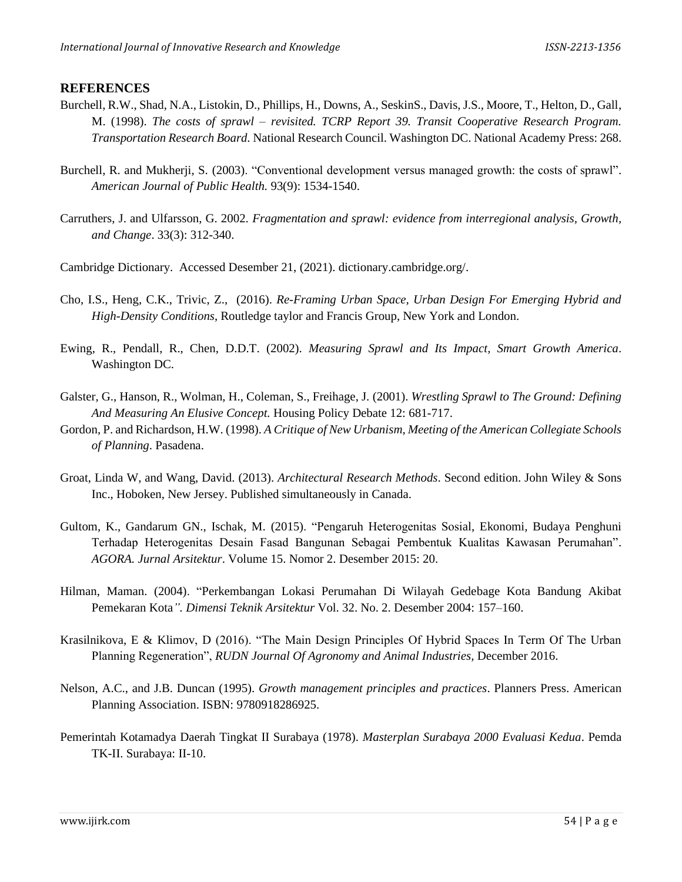#### **REFERENCES**

- Burchell, R.W., Shad, N.A., Listokin, D., Phillips, H., Downs, A., SeskinS., Davis, J.S., Moore, T., Helton, D., Gall, M. (1998). *The costs of sprawl – revisited. TCRP Report 39. Transit Cooperative Research Program. Transportation Research Board.* National Research Council. Washington DC. National Academy Press: 268.
- Burchell, R. and Mukherji, S. (2003). "Conventional development versus managed growth: the costs of sprawl". *American Journal of Public Health.* 93(9): 1534-1540.
- Carruthers, J. and Ulfarsson, G. 2002. *Fragmentation and sprawl: evidence from interregional analysis, Growth, and Change*. 33(3): 312-340.
- Cambridge Dictionary. Accessed Desember 21, (2021). dictionary.cambridge.org/.
- Cho, I.S., Heng, C.K., Trivic, Z., (2016). *Re-Framing Urban Space, Urban Design For Emerging Hybrid and High-Density Conditions*, Routledge taylor and Francis Group, New York and London.
- Ewing, R., Pendall, R., Chen, D.D.T. (2002). *Measuring Sprawl and Its Impact, Smart Growth America*. Washington DC.
- Galster, G., Hanson, R., Wolman, H., Coleman, S., Freihage, J. (2001). *Wrestling Sprawl to The Ground: Defining And Measuring An Elusive Concept.* Housing Policy Debate 12: 681-717.
- Gordon, P. and Richardson, H.W. (1998). *A Critique of New Urbanism, Meeting of the American Collegiate Schools of Planning*. Pasadena.
- Groat, Linda W, and Wang, David. (2013). *Architectural Research Methods*. Second edition. John Wiley & Sons Inc., Hoboken, New Jersey. Published simultaneously in Canada.
- Gultom, K., Gandarum GN., Ischak, M. (2015). "Pengaruh Heterogenitas Sosial, Ekonomi, Budaya Penghuni Terhadap Heterogenitas Desain Fasad Bangunan Sebagai Pembentuk Kualitas Kawasan Perumahan". *AGORA. Jurnal Arsitektur*. Volume 15. Nomor 2. Desember 2015: 20.
- Hilman, Maman. (2004). "Perkembangan Lokasi Perumahan Di Wilayah Gedebage Kota Bandung Akibat Pemekaran Kota*". Dimensi Teknik Arsitektur* Vol. 32. No. 2. Desember 2004: 157–160.
- Krasilnikova, E & Klimov, D (2016). "The Main Design Principles Of Hybrid Spaces In Term Of The Urban Planning Regeneration", *RUDN Journal Of Agronomy and Animal Industries,* December 2016.
- Nelson, A.C., and J.B. Duncan (1995). *Growth management principles and practices*. Planners Press. American Planning Association. ISBN: 9780918286925.
- Pemerintah Kotamadya Daerah Tingkat II Surabaya (1978). *Masterplan Surabaya 2000 Evaluasi Kedua*. Pemda TK-II. Surabaya: II-10.